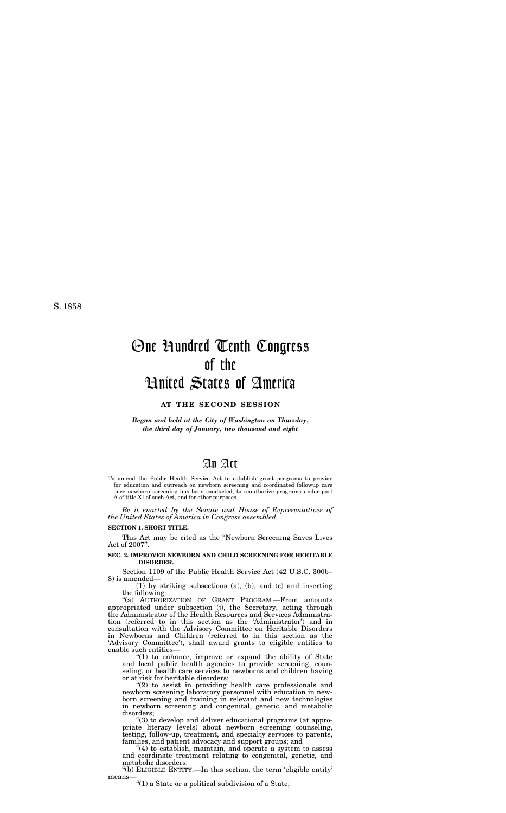S. 1858

# One Hundred Tenth Congress of the United States of America

# **AT THE SECOND SESSION**

*Begun and held at the City of Washington on Thursday, the third day of January, two thousand and eight* 

# An Act

To amend the Public Health Service Act to establish grant programs to provide for education and outreach on newborn screening and coordinated followup care once newborn screening has been conducted, to reauthorize programs under part A of title XI of such Act, and for other purposes.

*Be it enacted by the Senate and House of Representatives of the United States of America in Congress assembled,* 

### **SECTION 1. SHORT TITLE.**

This Act may be cited as the ''Newborn Screening Saves Lives Act of 2007''.

# **SEC. 2. IMPROVED NEWBORN AND CHILD SCREENING FOR HERITABLE DISORDER.**

Section 1109 of the Public Health Service Act (42 U.S.C. 300b– 8) is amended—

(1) by striking subsections (a), (b), and (c) and inserting the following:

''(a) AUTHORIZATION OF GRANT PROGRAM.—From amounts appropriated under subsection (j), the Secretary, acting through the Administrator of the Health Resources and Services Administration (referred to in this section as the 'Administrator') and in consultation with the Advisory Committee on Heritable Disorders in Newborns and Children (referred to in this section as the 'Advisory Committee'), shall award grants to eligible entities to enable such entities— " $(1)$  to enhance, improve or expand the ability of State and local public health agencies to provide screening, counseling, or health care services to newborns and children having or at risk for heritable disorders; " $(2)$  to assist in providing health care professionals and newborn screening laboratory personnel with education in newborn screening and training in relevant and new technologies in newborn screening and congenital, genetic, and metabolic disorders; ''(3) to develop and deliver educational programs (at appropriate literacy levels) about newborn screening counseling, testing, follow-up, treatment, and specialty services to parents, families, and patient advocacy and support groups; and

''(4) to establish, maintain, and operate a system to assess and coordinate treatment relating to congenital, genetic, and metabolic disorders.

''(b) ELIGIBLE ENTITY.—In this section, the term 'eligible entity' means—

 $''(1)$  a State or a political subdivision of a State;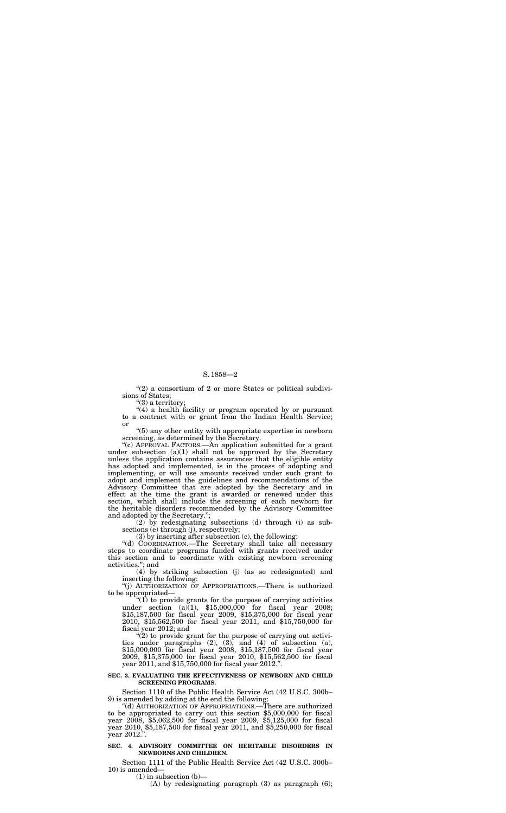"(2) a consortium of 2 or more States or political subdivisions of States;

"(3) a territory;

"(4) a health facility or program operated by or pursuant to a contract with or grant from the Indian Health Service; or

''(5) any other entity with appropriate expertise in newborn screening, as determined by the Secretary.

(2) by redesignating subsections (d) through (i) as subsections (e) through (j), respectively;

''(c) APPROVAL FACTORS.—An application submitted for a grant under subsection  $(a)(1)$  shall not be approved by the Secretary unless the application contains assurances that the eligible entity has adopted and implemented, is in the process of adopting and implementing, or will use amounts received under such grant to adopt and implement the guidelines and recommendations of the Advisory Committee that are adopted by the Secretary and in effect at the time the grant is awarded or renewed under this section, which shall include the screening of each newborn for the heritable disorders recommended by the Advisory Committee and adopted by the Secretary.'';

" $(1)$  to provide grants for the purpose of carrying activities under section (a) $(1)$ , \$15,000,000 for fiscal year 2008; \$15,187,500 for fiscal year 2009, \$15,375,000 for fiscal year 2010, \$15,562,500 for fiscal year 2011, and \$15,750,000 for fiscal year 2012; and

" $(2)$  to provide grant for the purpose of carrying out activities under paragraphs (2), (3), and (4) of subsection (a), \$15,000,000 for fiscal year 2008, \$15,187,500 for fiscal year 2009, \$15,375,000 for fiscal year 2010, \$15,562,500 for fiscal year 2011, and \$15,750,000 for fiscal year 2012.''.

(3) by inserting after subsection (c), the following:

''(d) COORDINATION.—The Secretary shall take all necessary steps to coordinate programs funded with grants received under this section and to coordinate with existing newborn screening activities.''; and

(4) by striking subsection (j) (as so redesignated) and inserting the following:

''(j) AUTHORIZATION OF APPROPRIATIONS.—There is authorized to be appropriated—

#### **SEC. 3. EVALUATING THE EFFECTIVENESS OF NEWBORN AND CHILD SCREENING PROGRAMS.**

Section 1110 of the Public Health Service Act (42 U.S.C. 300b–<br>9) is amended by adding at the end the following:<br>"(d) AUTHORIZATION OF APPROPRIATIONS.—There are authorized

to be appropriated to carry out this section \$5,000,000 for fiscal year 2008, \$5,062,500 for fiscal year 2009, \$5,125,000 for fiscal year 2010, \$5,187,500 for fiscal year 2011, and \$5,250,000 for fiscal year 2012.''.

# **SEC. 4. ADVISORY COMMITTEE ON HERITABLE DISORDERS IN NEWBORNS AND CHILDREN.**

Section 1111 of the Public Health Service Act (42 U.S.C. 300b–<br>10) is amended—<br>(1) in subsection (b)—<br>(A) by redesignating paragraph (3) as paragraph (6);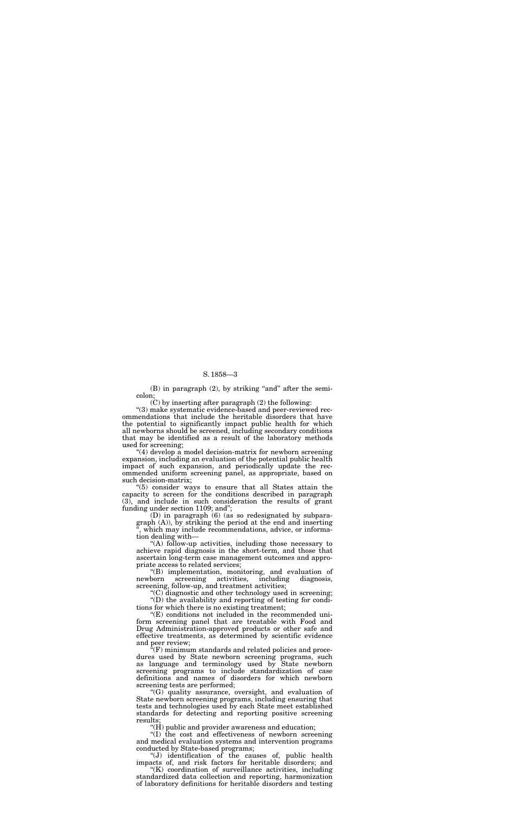$(B)$  in paragraph  $(2)$ , by striking "and" after the semicolon;

 $(C)$  by inserting after paragraph  $(2)$  the following:

''(3) make systematic evidence-based and peer-reviewed recommendations that include the heritable disorders that have the potential to significantly impact public health for which all newborns should be screened, including secondary conditions that may be identified as a result of the laboratory methods used for screening;

"(4) develop a model decision-matrix for newborn screening expansion, including an evaluation of the potential public health impact of such expansion, and periodically update the recommended uniform screening panel, as appropriate, based on such decision-matrix;

''(5) consider ways to ensure that all States attain the capacity to screen for the conditions described in paragraph (3), and include in such consideration the results of grant funding under section 1109; and'';

(D) in paragraph (6) (as so redesignated by subparagraph (A)), by striking the period at the end and inserting which may include recommendations, advice, or information dealing with—

" $(E)$  conditions not included in the recommended uniform screening panel that are treatable with Food and Drug Administration-approved products or other safe and effective treatments, as determined by scientific evidence and peer review;<br>"(F) minimum standards and related policies and procedures used by State newborn screening programs, such as language and terminology used by State newborn screening programs to include standardization of case definitions and names of disorders for which newborn screening tests are performed; "(G) quality assurance, oversight, and evaluation of State newborn screening programs, including ensuring that tests and technologies used by each State meet established standards for detecting and reporting positive screening results;

"(H) public and provider awareness and education;

''(A) follow-up activities, including those necessary to achieve rapid diagnosis in the short-term, and those that ascertain long-term case management outcomes and appropriate access to related services;

"(B) implementation, monitoring, and evaluation of screening activities, including diagnosis, newborn screening activities, including diagnosis, screening, follow-up, and treatment activities;

"(C) diagnostic and other technology used in screening;  $\text{``(D)}$  the availability and reporting of testing for conditions for which there is no existing treatment;

"(K) coordination of surveillance activities, including standardized data collection and reporting, harmonization of laboratory definitions for heritable disorders and testing

''(I) the cost and effectiveness of newborn screening and medical evaluation systems and intervention programs conducted by State-based programs;

''(J) identification of the causes of, public health impacts of, and risk factors for heritable disorders; and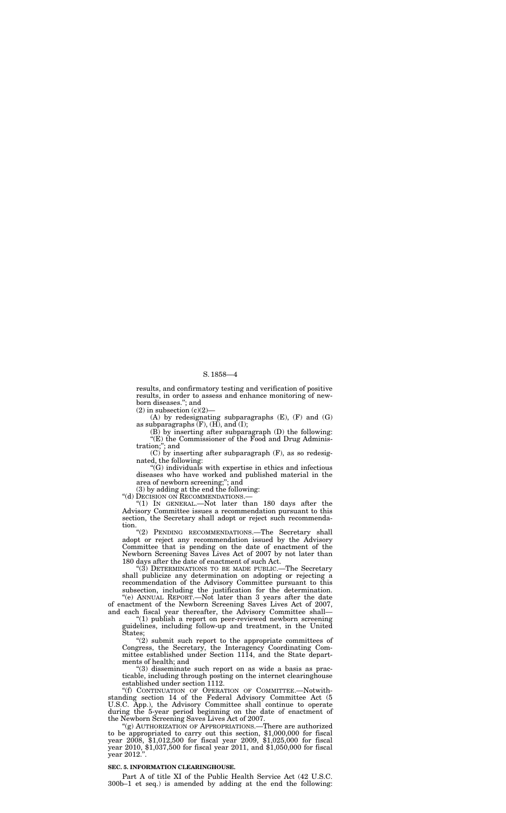results, and confirmatory testing and verification of positive results, in order to assess and enhance monitoring of newborn diseases.''; and

 $(2)$  in subsection  $(c)(2)$ 

(A) by redesignating subparagraphs (E), (F) and (G) as subparagraphs  $(F)$ ,  $(H)$ , and  $(I)$ ;

(B) by inserting after subparagraph (D) the following:  $\widetilde{f}(E)$  the Commissioner of the Food and Drug Administration;''; and

(C) by inserting after subparagraph (F), as so redesignated, the following:

" $(1)$  IN GENERAL.—Not later than 180 days after the Advisory Committee issues a recommendation pursuant to this section, the Secretary shall adopt or reject such recommendation.

''(G) individuals with expertise in ethics and infectious diseases who have worked and published material in the area of newborn screening;''; and

"(2) PENDING RECOMMENDATIONS.-The Secretary shall adopt or reject any recommendation issued by the Advisory Committee that is pending on the date of enactment of the Newborn Screening Saves Lives Act of 2007 by not later than 180 days after the date of enactment of such Act.

(3) by adding at the end the following:

''(d) DECISION ON RECOMMENDATIONS.—

''(1) publish a report on peer-reviewed newborn screening guidelines, including follow-up and treatment, in the United tates:

" $(2)$  submit such report to the appropriate committees of Congress, the Secretary, the Interagency Coordinating Committee established under Section 1114, and the State departments of health; and

''(3) DETERMINATIONS TO BE MADE PUBLIC.—The Secretary shall publicize any determination on adopting or rejecting a recommendation of the Advisory Committee pursuant to this subsection, including the justification for the determination. ''(e) ANNUAL REPORT.—Not later than 3 years after the date

of enactment of the Newborn Screening Saves Lives Act of 2007, and each fiscal year thereafter, the Advisory Committee shall—

''(3) disseminate such report on as wide a basis as practicable, including through posting on the internet clearinghouse established under section 1112.

''(f) CONTINUATION OF OPERATION OF COMMITTEE.—Notwithstanding section 14 of the Federal Advisory Committee Act (5 U.S.C. App.), the Advisory Committee shall continue to operate during the 5-year period beginning on the date of enactment of the Newborn Screening Saves Lives Act of 2007.

''(g) AUTHORIZATION OF APPROPRIATIONS.—There are authorized to be appropriated to carry out this section, \$1,000,000 for fiscal year 2008, \$1,012,500 for fiscal year 2009, \$1,025,000 for fiscal year 2010, \$1,037,500 for fiscal year 2011, and \$1,050,000 for fiscal year 2012.''.

#### **SEC. 5. INFORMATION CLEARINGHOUSE.**

Part A of title XI of the Public Health Service Act (42 U.S.C. 300b–1 et seq.) is amended by adding at the end the following: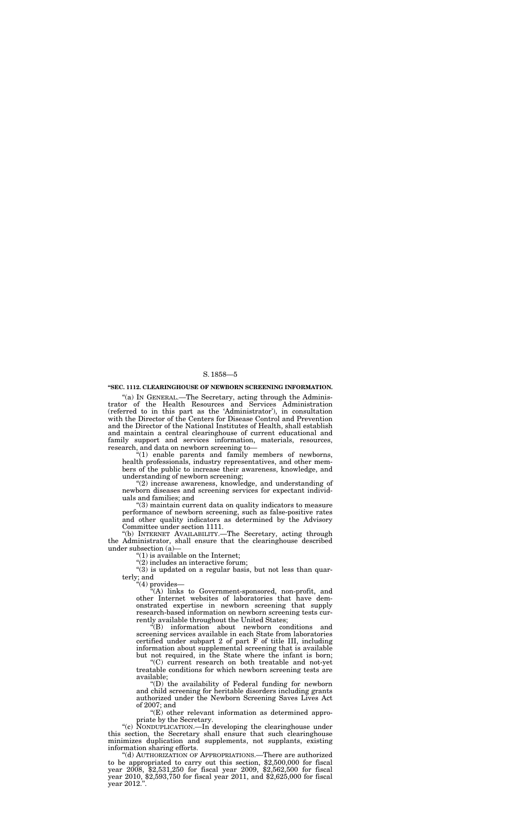#### **''SEC. 1112. CLEARINGHOUSE OF NEWBORN SCREENING INFORMATION.**

"(a) IN GENERAL.—The Secretary, acting through the Administrator of the Health Resources and Services Administration (referred to in this part as the 'Administrator'), in consultation with the Director of the Centers for Disease Control and Prevention and the Director of the National Institutes of Health, shall establish and maintain a central clearinghouse of current educational and family support and services information, materials, resources, research, and data on newborn screening to—

"(1) enable parents and family members of newborns, health professionals, industry representatives, and other members of the public to increase their awareness, knowledge, and understanding of newborn screening;

 $\degree(3)$  is updated on a regular basis, but not less than quarterly; and

''(2) increase awareness, knowledge, and understanding of newborn diseases and screening services for expectant individuals and families; and

''(3) maintain current data on quality indicators to measure performance of newborn screening, such as false-positive rates and other quality indicators as determined by the Advisory Committee under section 1111.

''(b) INTERNET AVAILABILITY.—The Secretary, acting through the Administrator, shall ensure that the clearinghouse described under subsection (a)—

''(1) is available on the Internet;

''(2) includes an interactive forum;

''(4) provides—

'(d) AUTHORIZATION OF APPROPRIATIONS.—There are authorized to be appropriated to carry out this section, \$2,500,000 for fiscal year 2008, \$2,531,250 for fiscal year 2009, \$2,562,500 for fiscal year 2010, \$2,593,750 for fiscal year 2011, and \$2,625,000 for fiscal year 2012.''.

''(A) links to Government-sponsored, non-profit, and other Internet websites of laboratories that have demonstrated expertise in newborn screening that supply research-based information on newborn screening tests currently available throughout the United States;

''(B) information about newborn conditions and screening services available in each State from laboratories

certified under subpart 2 of part F of title III, including information about supplemental screening that is available but not required, in the State where the infant is born;

''(C) current research on both treatable and not-yet treatable conditions for which newborn screening tests are available;

''(D) the availability of Federal funding for newborn and child screening for heritable disorders including grants authorized under the Newborn Screening Saves Lives Act of 2007; and

''(E) other relevant information as determined appropriate by the Secretary.

''(c) NONDUPLICATION.—In developing the clearinghouse under this section, the Secretary shall ensure that such clearinghouse minimizes duplication and supplements, not supplants, existing information sharing efforts.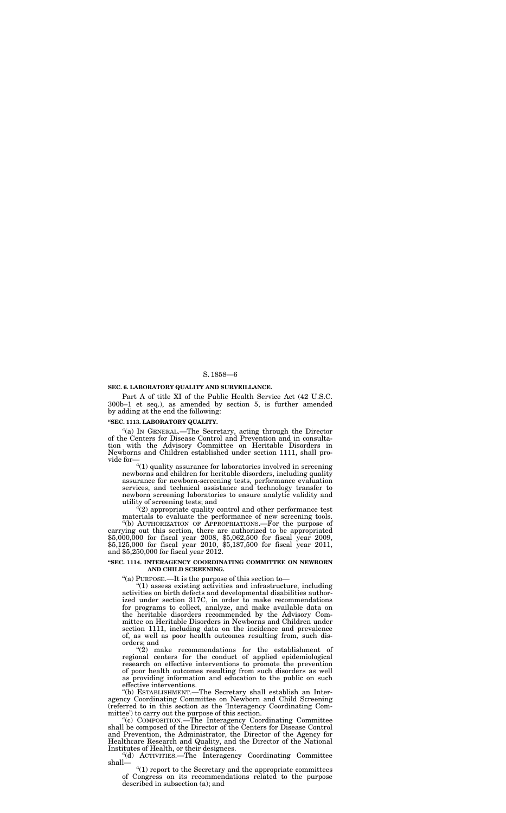### **SEC. 6. LABORATORY QUALITY AND SURVEILLANCE.**

Part A of title XI of the Public Health Service Act (42 U.S.C. 300b–1 et seq.), as amended by section 5, is further amended by adding at the end the following:

# **''SEC. 1113. LABORATORY QUALITY.**

''(a) IN GENERAL.—The Secretary, acting through the Director of the Centers for Disease Control and Prevention and in consultation with the Advisory Committee on Heritable Disorders in Newborns and Children established under section 1111, shall provide for—

" $(1)$  quality assurance for laboratories involved in screening newborns and children for heritable disorders, including quality assurance for newborn-screening tests, performance evaluation services, and technical assistance and technology transfer to newborn screening laboratories to ensure analytic validity and utility of screening tests; and

"(2) appropriate quality control and other performance test materials to evaluate the performance of new screening tools. ''(b) AUTHORIZATION OF APPROPRIATIONS.—For the purpose of carrying out this section, there are authorized to be appropriated

\$5,000,000 for fiscal year 2008, \$5,062,500 for fiscal year 2009, \$5,125,000 for fiscal year 2010, \$5,187,500 for fiscal year 2011, and \$5,250,000 for fiscal year 2012.

#### **''SEC. 1114. INTERAGENCY COORDINATING COMMITTEE ON NEWBORN AND CHILD SCREENING.**

''(a) PURPOSE.—It is the purpose of this section to—

 $''(1)$  assess existing activities and infrastructure, including activities on birth defects and developmental disabilities authorized under section 317C, in order to make recommendations for programs to collect, analyze, and make available data on the heritable disorders recommended by the Advisory Committee on Heritable Disorders in Newborns and Children under section 1111, including data on the incidence and prevalence of, as well as poor health outcomes resulting from, such disorders; and "(2) make recommendations for the establishment of regional centers for the conduct of applied epidemiological research on effective interventions to promote the prevention of poor health outcomes resulting from such disorders as well as providing information and education to the public on such effective interventions. ''(b) ESTABLISHMENT.—The Secretary shall establish an Interagency Coordinating Committee on Newborn and Child Screening (referred to in this section as the 'Interagency Coordinating Committee') to carry out the purpose of this section.<br>"(c) COMPOSITION.—The Interagency Coordinating Committee shall be composed of the Director of the Centers for Disease Control and Prevention, the Administrator, the Director of the Agency for Healthcare Research and Quality, and the Director of the National Institutes of Health, or their designees. "(d) ACTIVITIES.—The Interagency Coordinating Committee shall—

" $(1)$  report to the Secretary and the appropriate committees of Congress on its recommendations related to the purpose described in subsection (a); and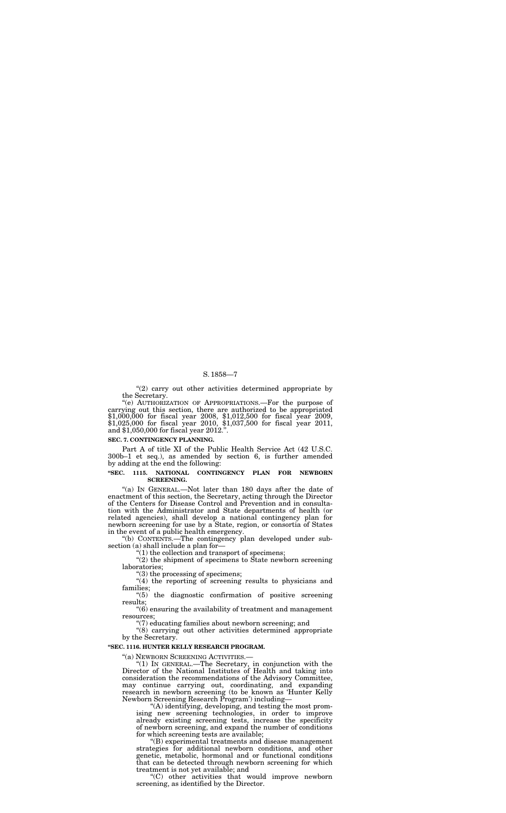"(2) carry out other activities determined appropriate by the Secretary.

''(e) AUTHORIZATION OF APPROPRIATIONS.—For the purpose of carrying out this section, there are authorized to be appropriated \$1,000,000 for fiscal year 2008, \$1,012,500 for fiscal year 2009, \$1,025,000 for fiscal year 2010, \$1,037,500 for fiscal year 2011, and \$1,050,000 for fiscal year 2012.''.

#### **SEC. 7. CONTINGENCY PLANNING.**

Part A of title XI of the Public Health Service Act (42 U.S.C. 300b–1 et seq.), as amended by section 6, is further amended by adding at the end the following:

"(a) IN GENERAL.—Not later than 180 days after the date of enactment of this section, the Secretary, acting through the Director of the Centers for Disease Control and Prevention and in consultation with the Administrator and State departments of health (or related agencies), shall develop a national contingency plan for newborn screening for use by a State, region, or consortia of States in the event of a public health emergency.

#### **''SEC. 1115. NATIONAL CONTINGENCY PLAN FOR NEWBORN SCREENING.**

 $(2)$  the shipment of specimens to State newborn screening laboratories;

"(4) the reporting of screening results to physicians and families;

''(b) CONTENTS.—The contingency plan developed under subsection (a) shall include a plan for—

''(1) the collection and transport of specimens;

''(3) the processing of specimens;

''(5) the diagnostic confirmation of positive screening results;

''(6) ensuring the availability of treatment and management resources;

 $\degree$ (7) educating families about newborn screening; and

"(8) carrying out other activities determined appropriate

by the Secretary.

#### **''SEC. 1116. HUNTER KELLY RESEARCH PROGRAM.**

''(a) NEWBORN SCREENING ACTIVITIES.—

''(1) IN GENERAL.—The Secretary, in conjunction with the Director of the National Institutes of Health and taking into consideration the recommendations of the Advisory Committee, may continue carrying out, coordinating, and expanding research in newborn screening (to be known as 'Hunter Kelly

Newborn Screening Research Program') including— ''(A) identifying, developing, and testing the most promising new screening technologies, in order to improve already existing screening tests, increase the specificity of newborn screening, and expand the number of conditions

for which screening tests are available; ''(B) experimental treatments and disease management strategies for additional newborn conditions, and other genetic, metabolic, hormonal and or functional conditions that can be detected through newborn screening for which treatment is not yet available; and

''(C) other activities that would improve newborn screening, as identified by the Director.